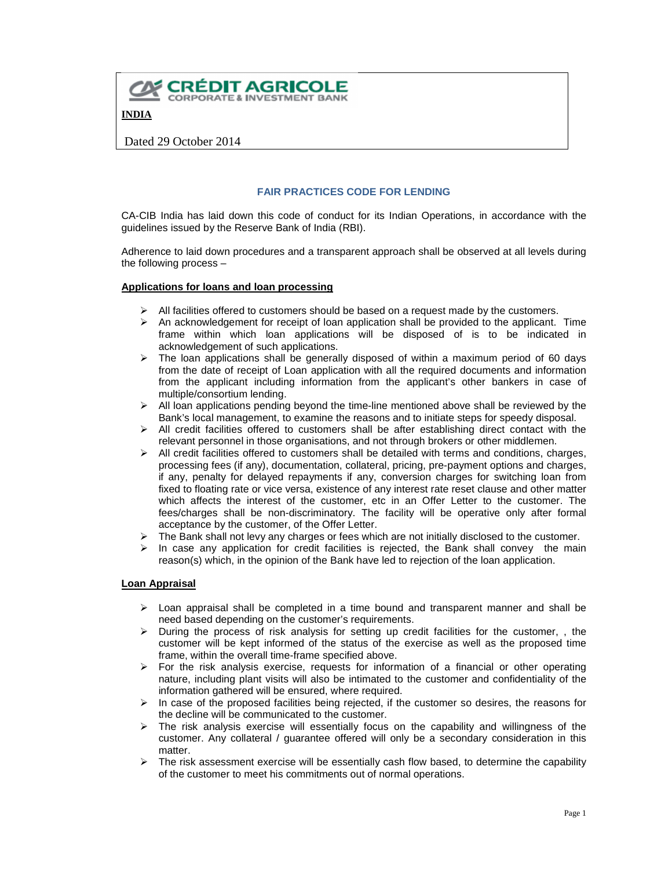

# **FAIR PRACTICES CODE FOR LENDING**

CA-CIB India has laid down this code of conduct for its Indian Operations, in accordance with the guidelines issued by the Reserve Bank of India (RBI).

Adherence to laid down procedures and a transparent approach shall be observed at all levels during the following process –

### **Applications for loans and loan processing**

- $\triangleright$  All facilities offered to customers should be based on a request made by the customers.
- $\triangleright$  An acknowledgement for receipt of loan application shall be provided to the applicant. Time frame within which loan applications will be disposed of is to be indicated in acknowledgement of such applications.
- $\triangleright$  The loan applications shall be generally disposed of within a maximum period of 60 days from the date of receipt of Loan application with all the required documents and information from the applicant including information from the applicant's other bankers in case of multiple/consortium lending.
- $\triangleright$  All loan applications pending beyond the time-line mentioned above shall be reviewed by the Bank's local management, to examine the reasons and to initiate steps for speedy disposal.
- $\triangleright$  All credit facilities offered to customers shall be after establishing direct contact with the relevant personnel in those organisations, and not through brokers or other middlemen.
- $\triangleright$  All credit facilities offered to customers shall be detailed with terms and conditions, charges, processing fees (if any), documentation, collateral, pricing, pre-payment options and charges, if any, penalty for delayed repayments if any, conversion charges for switching loan from fixed to floating rate or vice versa, existence of any interest rate reset clause and other matter which affects the interest of the customer, etc in an Offer Letter to the customer. The fees/charges shall be non-discriminatory. The facility will be operative only after formal acceptance by the customer, of the Offer Letter.
- $\triangleright$  The Bank shall not levy any charges or fees which are not initially disclosed to the customer.
- In case any application for credit facilities is rejected, the Bank shall convey the main reason(s) which, in the opinion of the Bank have led to rejection of the loan application.

#### **Loan Appraisal**

- $\triangleright$  Loan appraisal shall be completed in a time bound and transparent manner and shall be need based depending on the customer's requirements.
- $\triangleright$  During the process of risk analysis for setting up credit facilities for the customer, , the customer will be kept informed of the status of the exercise as well as the proposed time frame, within the overall time-frame specified above.
- $\triangleright$  For the risk analysis exercise, requests for information of a financial or other operating nature, including plant visits will also be intimated to the customer and confidentiality of the information gathered will be ensured, where required.
- $\triangleright$  In case of the proposed facilities being rejected, if the customer so desires, the reasons for the decline will be communicated to the customer.
- $\triangleright$  The risk analysis exercise will essentially focus on the capability and willingness of the customer. Any collateral / guarantee offered will only be a secondary consideration in this matter.
- $\triangleright$  The risk assessment exercise will be essentially cash flow based, to determine the capability of the customer to meet his commitments out of normal operations.